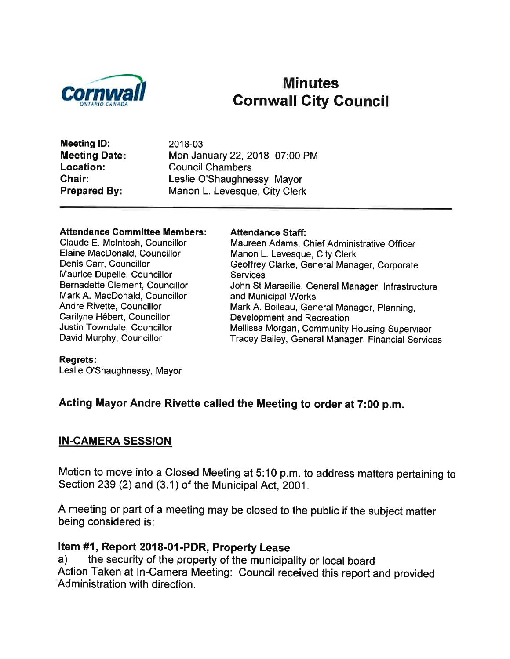

# Minutes Gornwall City Gouncil

Meeting lD: **Meeting Date:** Location: Chair: Prepared By:

2018-03 Mon January 22,2018 07:00 PM Council Chambers Leslie O'Shaughnessy, Mayor Manon L. Levesque, City Clerk

#### Attendance Committee Members:

Claude E. Mclntosh, Councillor Elaine MacDonald, Councillor Denis Carr, Councillor Maurice Dupelle, Councillor Bernadette Clement, Councillor Mark A. MacDonald, Councillor Andre Rivette, Councillor Carilyne Hébert, Councillor Justin Towndale, Councillor David Murphy, Councillor

#### Attendance Staff:

Maureen Adams, Chief Administrative Officer Manon L. Levesque, City Clerk Geoffrey Clarke, General Manager, Corporate **Services** John St Marseille, General Manager, lnfrastructure and Municipal Works Mark A. Boileau, General Manager, Planning, Development and Recreation Mellissa Morgan, Community Housing Supervisor Tracey Bailey, General Manager, Financial Services

#### Regrets:

Leslie O'Shaughnessy, Mayor

#### Acting Mayor Andre Rivette called the Meeting to order at 7:00 p.m.

#### IN.CAMERA SESSION

Motion to move into a Closed Meeting at 5:10 p.m.to address matters pertaining to Section 239 (2) and (3.1) of the Municipal Act, 2001.

A meeting or part of a meeting may be closed to the public if the subject matter being considered is:

Item #1, Report 2018-01-PDR, Property Lease<br>a) the security of the property of the municipality or local board Action Taken at In-Camera Meeting: Council received this report and provided Administration with direction.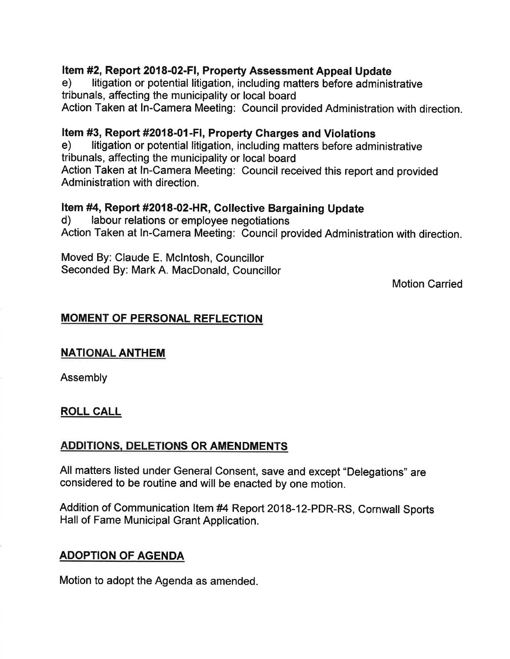# Item #2, Report 2018-02-FI, Property Assessment Appeal Update<br>e) litigation or potential litigation, including matters before administrative

tribunals, affecting the municipality or local board

Action Taken at In-Camera Meeting: Council provided Administration with direction.

Item #3, Report #2018-01-FI, Property Charges and Violations<br>e) litigation or potential litigation, including matters before administrative tribunals, affecting the municipality or local board Action Taken at ln-Camera Meeting: Council received this report and provided Administration with direction.

# **Item #4, Report #2018-02-HR, Collective Bargaining Update d)** labour relations or employee negotiations

Action Taken at In-Camera Meeting: Council provided Administration with direction.

Moved By: Claude E. Mclntosh, Councillor Seconded By: Mark A. MacDonald, Councillor

Motion Carried

# MOMENT OF PERSONAL REFLECTION

## **NATIONAL ANTHEM**

Assembly

## ROLL CALL

# ADDITIONS. DELETIONS OR AMENDMENTS

All matters listed under General Consent, save and except "Delegations" are considered to be routine and will be enacted by one motion.

Addition of Communication ltem #4 Report 2018-12-PDR-RS, Cornwall Sports Hall of Fame Municipal Grant Application.

# ADOPTION OF AGENDA

Motion to adopt the Agenda as amended.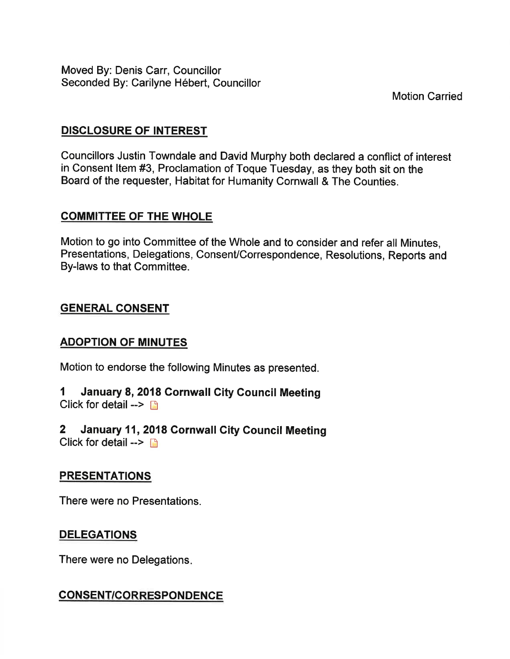Moved By: Denis Garr, Councillor Seconded By: Carilyne Hébert, Councillor

**Motion Carried** 

# DISCLOSURE OF INTEREST

Councillors Justin Towndale and David Murphy both declared a conflict of interest in consent ltem #3, Proclamation of Toque Tuesday, as they both sit on the Board of the requester, Habitat for Humanity Gornwall & The counties.

# COMMITTEE OF THE WHOLE

Motion to go into Committee of the Whole and to consider and refer all Minutes, Presentations, Delegations, Consent/Correspondence, Resolutions, Reports and By-laws to that Committee.

# GENERAL CONSENT

## ADOPTION OF MINUTES

Motion to endorse the following Minutes as presented.

- 1 January 8, 2018 Cornwall City Council Meeting Click for detail  $\rightarrow$  n
- 2 January 11,2018 Gornwall Gity Council Meeting Click for detail  $\rightarrow$  n

## **PRESENTATIONS**

There were no Presentations.

# DELEGATIONS

There were no Delegations

# CONSENT/CORRESPONDENCE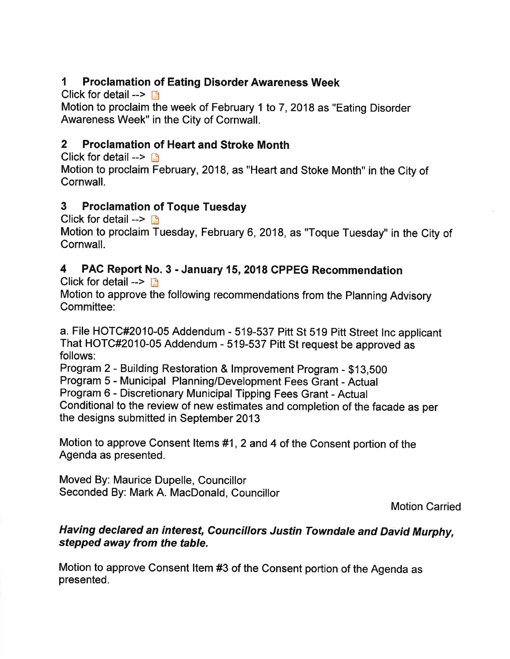# I Proclamation of Eating Disorder Awareness Week

Click for detail  $\rightarrow$  n

Motion to proclaim the week of February 1 to 7,2018 as "Eating Disorder Awareness Week" in the City of Cornwall.

# 2 Proclamation of Heart and Stroke Month

Click for detail  $\rightarrow$  n Motion to proclaim February,2018, as "Heart and Stoke Month" in the City of Cornwall.

# 3 Proclamation of Toque Tuesday

Click for detail  $\rightarrow \Box$ 

Motion to proclaim Tuesday, February 6,2018, as "Toque Tuesday" in the City of Cornwall.

# 4 PAC Report No. 3 - January 15, 2018 CPPEG Recommendation

Click for detail  $\rightarrow$  n

Motion to approve the following recommendations from the Planning Advisory Committee:

a. File HOTC#2010-05 Addendum - 519-537 Pitt St 519 Pitt Street lnc applicant That Horc#2010-05 Addendum - 519-537 Pitt st request be approved as follows:

Program 2 - Building Restoration & lmprovement Program - \$1g,5OO

Program 5 - Municipal Planning/Development Fees Grant - Actual

Program 6 - Discretionary Municipal Tipping Fees Grant - Actual

Conditional to the review of new estimates and completion of the facade as per the designs submitted in September 2013

Motion to approve Consent Items #1, 2 and 4 of the Consent portion of the Agenda as presented.

Moved By: Maurice Dupelle, Councillor Seconded By: Mark A. MacDonald, Councillor

Motion Carried

# Having declared an interest, Councillors Justin Towndale and David Murphy, sfepped away from the table.

Motion to approve Consent ltem #3 of the Consent portion of the Agenda as presented.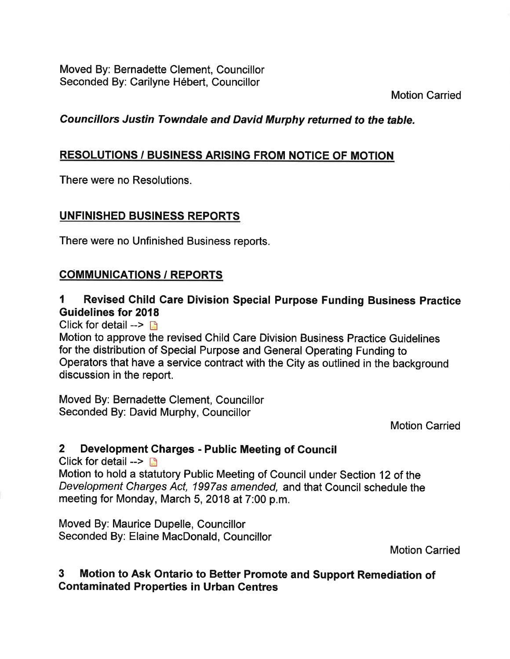Moved By: Bernadette Clement, Councillor Seconded By: Carilyne Hébert, Councillor

Motion Carried

# Councillors Justin Towndale and David Murphy returned to the table.

# RESOLUTIONS / BUSINESS ARISING FROM NOTIGE OF MOTION

There were no Resolutions.

## UNFINISHED BUSINESS REPORTS

There were no Unfinished Business reports.

## COMMUNICATIONS / REPORTS

# I Revised Ghild Care Division Special Purpose Funding Business Practice Guidelines for 2018

Click for detail  $\rightarrow \Box$ 

Motion to approve the revised Child Care Division Business Practice Guidelines for the distribution of Special Purpose and General Operating Funding to Operators that have a service contract with the City as outlined in the background discussion in the report.

Moved By: Bernadette Clement, Councillor Seconded By: David Murphy, Councillor

Motion Carried

## 2 Development Charges - Public Meeting of Council

Click for detail  $\rightarrow \mathbb{R}$ 

Motion to hold a statutory Public Meeting of Council under Section 12 of the Development Charges Act, 1997as amended, and that Gouncil schedule the meeting for Monday, March 5, 2018 at 7:00 p.m.

Moved By: Maurice Dupelle, Councillor Seconded By: Elaine MacDonald, Councillor

Motion Carried

## 3 Motion to Ask Ontario to Better Promote and Support Remediation of Contaminated Properties in Urban Centres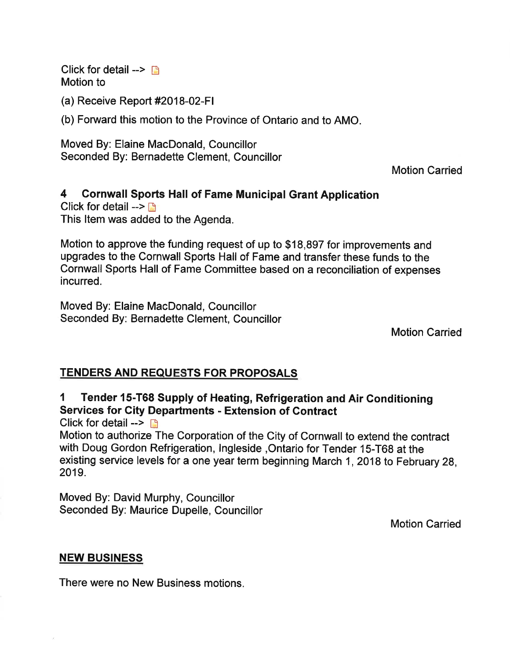Click for detail  $\rightarrow$   $\rightarrow$ Motion to

(a) Receive Report #2018-02-Fl

(b) Forward this motion to the Province of Ontario and to AMO.

Moved By: Elaine MacDonald, Councillor Seconded By: Bernadette Clement, Councillor

Motion Carried

#### 4 Cornwall Sports Hall of Fame Municipal Grant Application

Click for detail  $\rightarrow \mathbb{R}$ This ltem was added to the Agenda.

Motion to approve the funding request of up to \$18,897 for improvements and upgrades to the Cornwall Sports Hall of Fame and transfer these funds to the Cornwall Sports Hall of Fame Committee based on a reconciliation of expenses incurred.

Moved By: Elaine MacDonald, Councillor Seconded By: Bernadette Clement, Councillor

Motion Carried

## **TENDERS AND REQUESTS FOR PROPOSALS**

1 Tender 15-T68 Supply of Heating, Refrigeration and Air Gonditioning Services for City Departments - Extension of Contract

Click for detail  $\rightarrow$  D

Motion to authorize The Corporation of the City of Gornwall to extend the contract with Doug Gordon Refrigeration, lngleside ,Ontario for Tender 15-T68 at the existing service levels for a one year term beginning March 1,2018 to February 28, 2019.

Moved By: David Murphy, Councillor Seconded By: Maurice Dupelle, Councillor

Motion Carried

#### NEW BUSINESS

There were no New Business motions.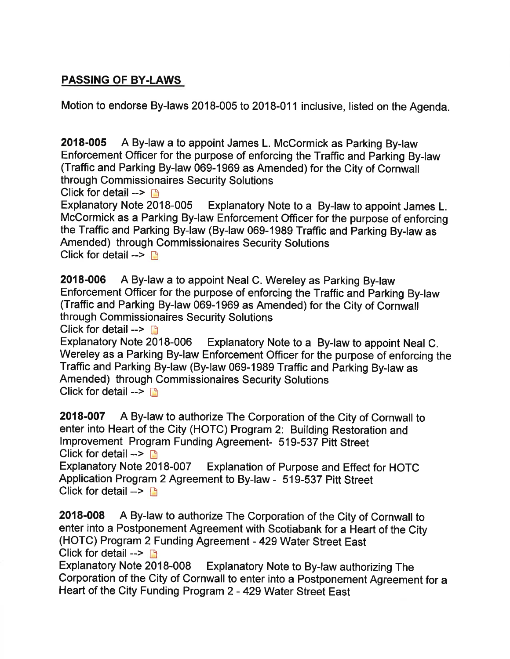# PASSING OF BY.LAWS

Motion to endorse By-laws 2018-005 to 2018-011 inclusive, listed on the Agenda.

2018-005 A By-law a to appoint James L. Mccormick as Parking By-law Enforcement Officer for the purpose of enforcing the Traffic and Parking By-law (Traffic and Parking By-law 069-1969 as Amended) for the City of Cornwall through Commissionaires Security Solutions

Click for detail -->  $\Box$ <br>Explanatory Note 2018-005 Explanatory Note to a By-law to appoint James L. McGormick as a Parking By-law Enforcement Officer for the purpose of enforcing the Traffic and Parking By-law (By-law 069-1989 Traffic and Parking By-law as Amended) through Commissionaires Security Solutions Click for detail  $\rightarrow \rightarrow$ 

2018-006 A By-law a to appoint Neal C. Wereley as Parking By-law Enforcement Officer for the purpose of enforcing the Traffic and Parking By-law (Traffic and Parking By-law 069-1969 as Amended) for the Gity of Gornwall through Commissionaires Security Solutions

Click for detail -->  $\Box$ <br>Explanatory Note 2018-006 Explanatory Note to a By-law to appoint Neal C. Wereley as a Parking By-law Enforcement Officer for the purpose of enforcing the Traffic and Parking By-law (By-law 069-1989 Traffic and Parking By-law as Amended) through Commissionaires Security Solutions Click for detail  $\rightarrow$  D

2018-007 A By-law to authorize The Corporation of the City of Gornwall to enter into Heart of the City (HOTG) Program 2: Building Restoration and lmprovement Program Funding Agreement- 519-537 Pitt Street Click for detail --> <u>n</u><br>Explanatory Note 2018-007

Explanation of Purpose and Effect for HOTC Application Program 2 Agreement to By-law - 519-537 Pitt Street Click for detail  $\rightarrow$  n

2018-008 A By-law to authorize The Corporation of the City of Cornwall to enter into a Postponement Agreement with Scotiabank for a Heart of the City (HOTC) Program 2 Funding Agreement - 429 Water Street East Click for detail -->  $\Box$ <br>Explanatory Note 2018-008

Explanatory Note to By-law authorizing The Corporation of the City of Cornwall to enter into a Postponement Agreement for a Heart of the City Funding Program 2 - 429 Water Street East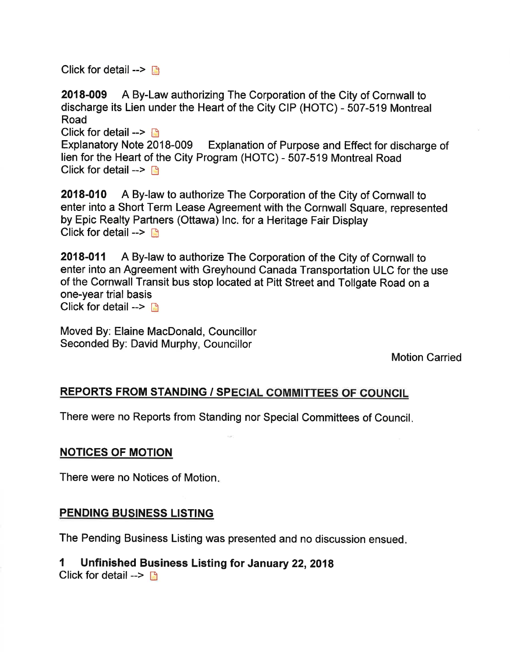Click for detail  $\rightarrow$   $\blacksquare$ 

2018-009 A By-Law authorizing The Corporation of the City of Cornwall to discharge its Lien under the Heart of the City CIP (HOTC) - 507-519 Montreal Road Click for detail -->  $\Box$ Explanatory Note 2018-009 Explanation of Purpose and Effect for discharge of lien for the Heart of the City Program (HOTC) - 507-519 Montreal Road Click for detail  $\rightarrow$  n

2018-010 A By-law to authorize The Corporation of the City of Cornwall to enter into a Short Term Lease Agreement with the Cornwall Square, represented by Epic Realty Partners (Ottawa) lnc. for a Heritage Fair Display Click for detail  $\rightarrow \mathbb{R}$ 

2018-011 A By-law to authorize The Corporation of the City of Cornwall to enter into an Agreement with Greyhound Canada Transportation ULC for the use of the Cornwall Transit bus stop located at Pitt Street and Tollgate Road on a one-year trial basis Click for detail  $\rightarrow \rightarrow$ 

Moved By: Elaine MacDonald, Councillor Seconded By: David Murphy, Councillor

Motion Carried

# REPORTS FROM STANDING / SPECIAL COMMITTEES OF COUNCIL

There were no Reports from Standing nor Special Gommittees of Council

## NOTICES OF MOTION

There were no Notices of Motion

## PENDING BUSINESS LISTING

The Pending Business Listing was presented and no discussion ensued

# 1 Unfinished Business Listing for January 22,2018

Click for detail  $\rightarrow \rightarrow$